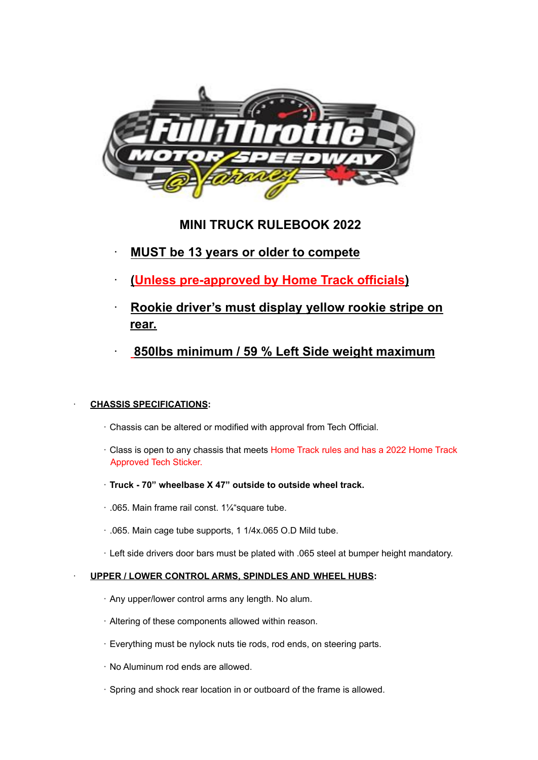

# **MINI TRUCK RULEBOOK 2022**

- · **MUST be 13 years or older to compete**
- · **(Unless pre-approved by Home Track officials)**
- · **Rookie driver's must display yellow rookie stripe on rear.**
- · **850lbs minimum / 59 % Left Side weight maximum**

# · **CHASSIS SPECIFICATIONS:**

- · Chassis can be altered or modified with approval from Tech Official.
- · Class is open to any chassis that meets Home Track rules and has a 2022 Home Track Approved Tech Sticker.
- · **Truck - 70" wheelbase X 47" outside to outside wheel track.**
- · .065. Main frame rail const. 1¼"square tube.
- · .065. Main cage tube supports, 1 1/4x.065 O.D Mild tube.
- · Left side drivers door bars must be plated with .065 steel at bumper height mandatory.

# · **UPPER / LOWER CONTROL ARMS, SPINDLES AND WHEEL HUBS:**

- · Any upper/lower control arms any length. No alum.
- · Altering of these components allowed within reason.
- · Everything must be nylock nuts tie rods, rod ends, on steering parts.
- · No Aluminum rod ends are allowed.
- · Spring and shock rear location in or outboard of the frame is allowed.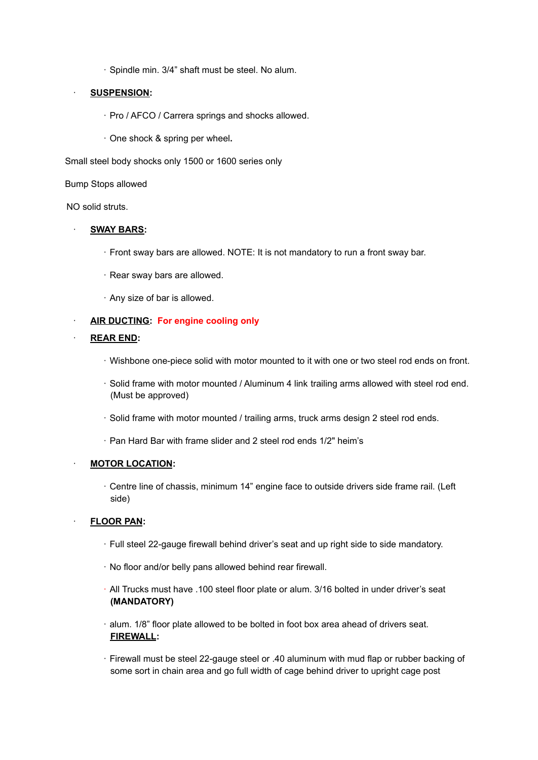· Spindle min. 3/4" shaft must be steel. No alum.

# · **SUSPENSION:**

- · Pro / AFCO / Carrera springs and shocks allowed.
- · One shock & spring per wheel**.**

Small steel body shocks only 1500 or 1600 series only

Bump Stops allowed

NO solid struts.

# · **SWAY BARS:**

- · Front sway bars are allowed. NOTE: It is not mandatory to run a front sway bar.
- · Rear sway bars are allowed.
- · Any size of bar is allowed.

# · **AIR DUCTING: For engine cooling only**

# · **REAR END:**

- · Wishbone one-piece solid with motor mounted to it with one or two steel rod ends on front.
- · Solid frame with motor mounted / Aluminum 4 link trailing arms allowed with steel rod end. (Must be approved)
- · Solid frame with motor mounted / trailing arms, truck arms design 2 steel rod ends.
- · Pan Hard Bar with frame slider and 2 steel rod ends 1/2" heim's

# · **MOTOR LOCATION:**

· Centre line of chassis, minimum 14" engine face to outside drivers side frame rail. (Left side)

# · **FLOOR PAN:**

- · Full steel 22-gauge firewall behind driver's seat and up right side to side mandatory.
- · No floor and/or belly pans allowed behind rear firewall.
- · All Trucks must have .100 steel floor plate or alum. 3/16 bolted in under driver's seat **(MANDATORY)**
- · alum. 1/8" floor plate allowed to be bolted in foot box area ahead of drivers seat. **FIREWALL:**
- · Firewall must be steel 22-gauge steel or .40 aluminum with mud flap or rubber backing of some sort in chain area and go full width of cage behind driver to upright cage post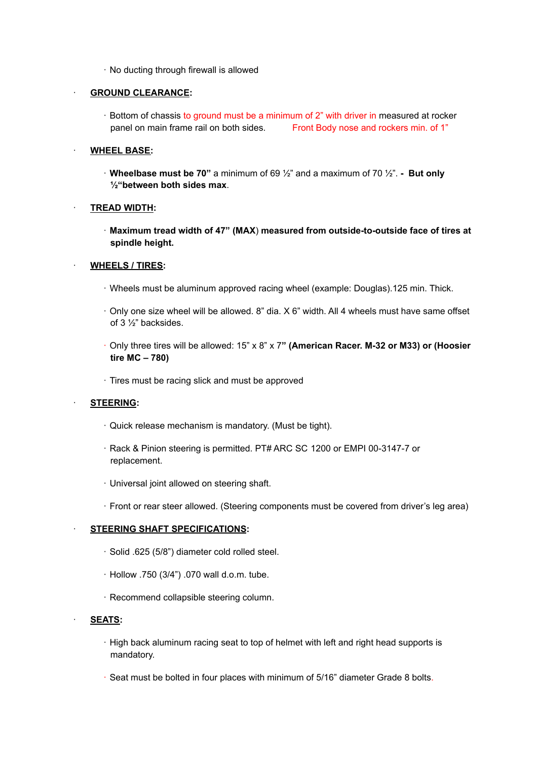· No ducting through firewall is allowed

## · **GROUND CLEARANCE:**

· Bottom of chassis to ground must be a minimum of 2" with driver in measured at rocker panel on main frame rail on both sides. Front Body nose and rockers min. of 1"

## · **WHEEL BASE:**

· **Wheelbase must be 70"** a minimum of 69 ½" and a maximum of 70 ½". **- But only ½"between both sides max**.

# · **TREAD WIDTH:**

· **Maximum tread width of 47" (MAX**) **measured from outside-to-outside face of tires at spindle height.**

# · **WHEELS / TIRES:**

- · Wheels must be aluminum approved racing wheel (example: Douglas).125 min. Thick.
- · Only one size wheel will be allowed. 8" dia. X 6" width. All 4 wheels must have same offset of 3 ½" backsides.
- · Only three tires will be allowed: 15" x 8" x 7**" (American Racer. M-32 or M33) or (Hoosier tire MC – 780)**
- · Tires must be racing slick and must be approved

## · **STEERING:**

- · Quick release mechanism is mandatory. (Must be tight).
- · Rack & Pinion steering is permitted. PT# ARC SC 1200 or EMPI 00-3147-7 or replacement.
- · Universal joint allowed on steering shaft.
- · Front or rear steer allowed. (Steering components must be covered from driver's leg area)

## · **STEERING SHAFT SPECIFICATIONS:**

- · Solid .625 (5/8") diameter cold rolled steel.
- · Hollow .750 (3/4") .070 wall d.o.m. tube.
- · Recommend collapsible steering column.

## · **SEATS:**

- · High back aluminum racing seat to top of helmet with left and right head supports is mandatory.
- · Seat must be bolted in four places with minimum of 5/16" diameter Grade 8 bolts.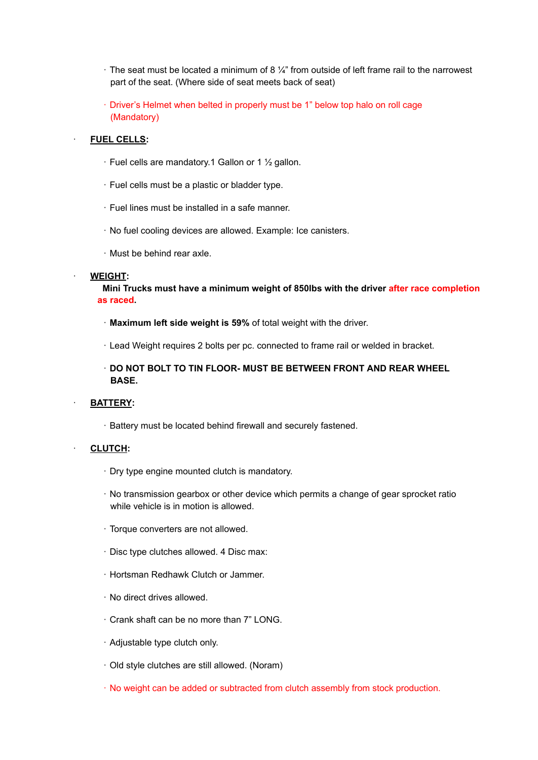- $\cdot$  The seat must be located a minimum of 8  $\frac{1}{4}$ " from outside of left frame rail to the narrowest part of the seat. (Where side of seat meets back of seat)
- · Driver's Helmet when belted in properly must be 1" below top halo on roll cage (Mandatory)

#### · **FUEL CELLS:**

- · Fuel cells are mandatory.1 Gallon or 1 ½ gallon.
- · Fuel cells must be a plastic or bladder type.
- · Fuel lines must be installed in a safe manner.
- · No fuel cooling devices are allowed. Example: Ice canisters.
- · Must be behind rear axle.

#### · **WEIGHT:**

**Mini Trucks must have a minimum weight of 850lbs with the driver after race completion as raced.**

- · **Maximum left side weight is 59%** of total weight with the driver.
- · Lead Weight requires 2 bolts per pc. connected to frame rail or welded in bracket.
- · **DO NOT BOLT TO TIN FLOOR- MUST BE BETWEEN FRONT AND REAR WHEEL BASE.**

## · **BATTERY:**

· Battery must be located behind firewall and securely fastened.

## · **CLUTCH:**

- · Dry type engine mounted clutch is mandatory.
- · No transmission gearbox or other device which permits a change of gear sprocket ratio while vehicle is in motion is allowed.
- · Torque converters are not allowed.
- · Disc type clutches allowed. 4 Disc max:
- · Hortsman Redhawk Clutch or Jammer.
- · No direct drives allowed.
- · Crank shaft can be no more than 7" LONG.
- · Adjustable type clutch only.
- · Old style clutches are still allowed. (Noram)
- · No weight can be added or subtracted from clutch assembly from stock production.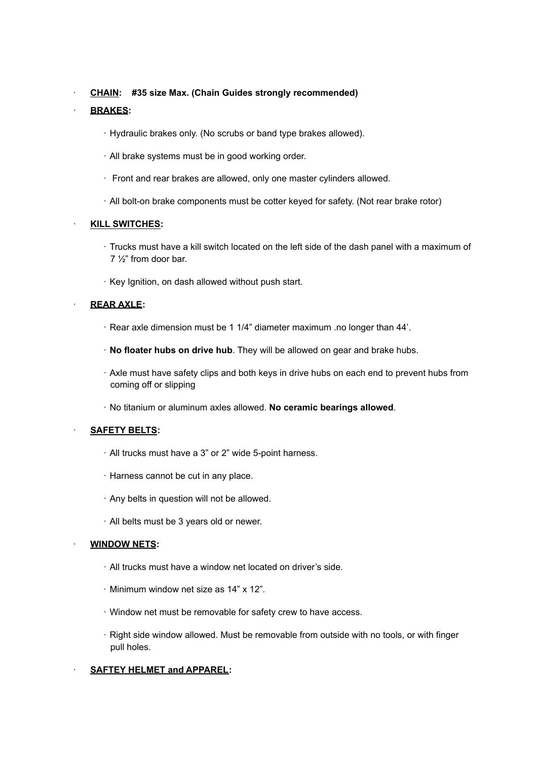· **CHAIN: #35 size Max. (Chain Guides strongly recommended)**

# · **BRAKES:**

- · Hydraulic brakes only. (No scrubs or band type brakes allowed).
- · All brake systems must be in good working order.
- · Front and rear brakes are allowed, only one master cylinders allowed.
- · All bolt-on brake components must be cotter keyed for safety. (Not rear brake rotor)

# · **KILL SWITCHES:**

- · Trucks must have a kill switch located on the left side of the dash panel with a maximum of 7 ½" from door bar.
- · Key Ignition, on dash allowed without push start.

# · **REAR AXLE:**

- · Rear axle dimension must be 1 1/4" diameter maximum .no longer than 44'.
- · **No floater hubs on drive hub**. They will be allowed on gear and brake hubs.
- · Axle must have safety clips and both keys in drive hubs on each end to prevent hubs from coming off or slipping
- · No titanium or aluminum axles allowed. **No ceramic bearings allowed**.

# · **SAFETY BELTS:**

- · All trucks must have a 3" or 2" wide 5-point harness.
- · Harness cannot be cut in any place.
- · Any belts in question will not be allowed.
- · All belts must be 3 years old or newer.

## · **WINDOW NETS:**

- · All trucks must have a window net located on driver's side.
- · Minimum window net size as 14" x 12".
- · Window net must be removable for safety crew to have access.
- · Right side window allowed. Must be removable from outside with no tools, or with finger pull holes.

# · **SAFTEY HELMET and APPAREL:**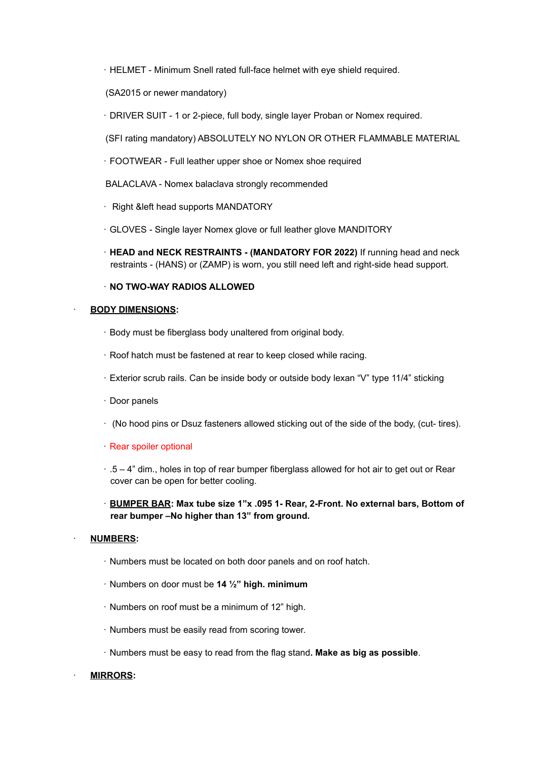- · HELMET Minimum Snell rated full-face helmet with eye shield required.
- (SA2015 or newer mandatory)
- · DRIVER SUIT 1 or 2-piece, full body, single layer Proban or Nomex required.
- (SFI rating mandatory) ABSOLUTELY NO NYLON OR OTHER FLAMMABLE MATERIAL
- · FOOTWEAR Full leather upper shoe or Nomex shoe required
- BALACLAVA Nomex balaclava strongly recommended
- · Right &left head supports MANDATORY
- · GLOVES Single layer Nomex glove or full leather glove MANDITORY
- · **HEAD and NECK RESTRAINTS - (MANDATORY FOR 2022)** If running head and neck restraints - (HANS) or (ZAMP) is worn, you still need left and right-side head support.

# · **NO TWO-WAY RADIOS ALLOWED**

## · **BODY DIMENSIONS:**

- · Body must be fiberglass body unaltered from original body.
- · Roof hatch must be fastened at rear to keep closed while racing.
- · Exterior scrub rails. Can be inside body or outside body lexan "V" type 11/4" sticking
- · Door panels
- · (No hood pins or Dsuz fasteners allowed sticking out of the side of the body, (cut- tires).
- · Rear spoiler optional
- $\cdot$  .5 4" dim., holes in top of rear bumper fiberglass allowed for hot air to get out or Rear cover can be open for better cooling.
- · **BUMPER BAR: Max tube size 1"x .095 1- Rear, 2-Front. No external bars, Bottom of rear bumper –No higher than 13" from ground.**

## · **NUMBERS:**

- · Numbers must be located on both door panels and on roof hatch.
- · Numbers on door must be **14 ½" high. minimum**
- · Numbers on roof must be a minimum of 12" high.
- · Numbers must be easily read from scoring tower.
- · Numbers must be easy to read from the flag stand**. Make as big as possible**.

## · **MIRRORS:**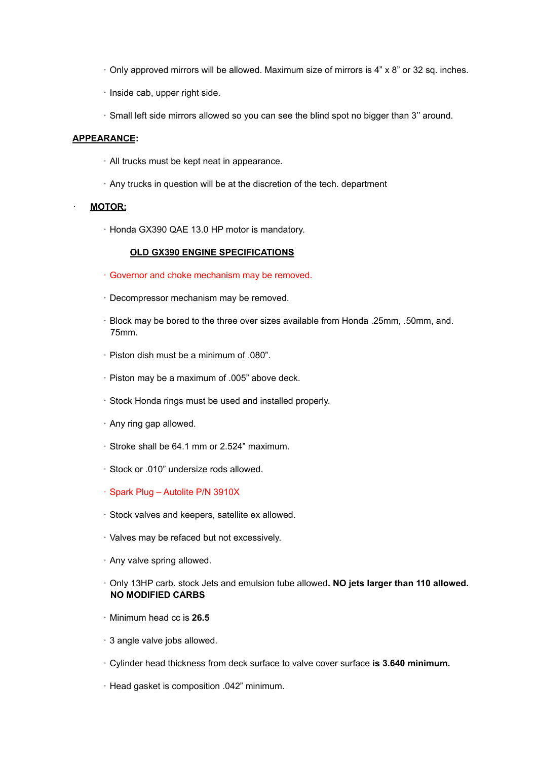- $\cdot$  Only approved mirrors will be allowed. Maximum size of mirrors is 4" x 8" or 32 sq. inches.
- · Inside cab, upper right side.
- · Small left side mirrors allowed so you can see the blind spot no bigger than 3'' around.

## **APPEARANCE:**

- · All trucks must be kept neat in appearance.
- · Any trucks in question will be at the discretion of the tech. department

## · **MOTOR:**

· Honda GX390 QAE 13.0 HP motor is mandatory.

# **OLD GX390 ENGINE SPECIFICATIONS**

- · Governor and choke mechanism may be removed.
- · Decompressor mechanism may be removed.
- · Block may be bored to the three over sizes available from Honda .25mm, .50mm, and. 75mm.
- · Piston dish must be a minimum of .080".
- · Piston may be a maximum of .005" above deck.
- · Stock Honda rings must be used and installed properly.
- · Any ring gap allowed.
- · Stroke shall be 64.1 mm or 2.524" maximum.
- · Stock or .010" undersize rods allowed.
- · Spark Plug Autolite P/N 3910X
- · Stock valves and keepers, satellite ex allowed.
- · Valves may be refaced but not excessively.
- · Any valve spring allowed.
- · Only 13HP carb. stock Jets and emulsion tube allowed**. NO jets larger than 110 allowed. NO MODIFIED CARBS**
- · Minimum head cc is **26.5**
- · 3 angle valve jobs allowed.
- · Cylinder head thickness from deck surface to valve cover surface **is 3.640 minimum.**
- · Head gasket is composition .042" minimum.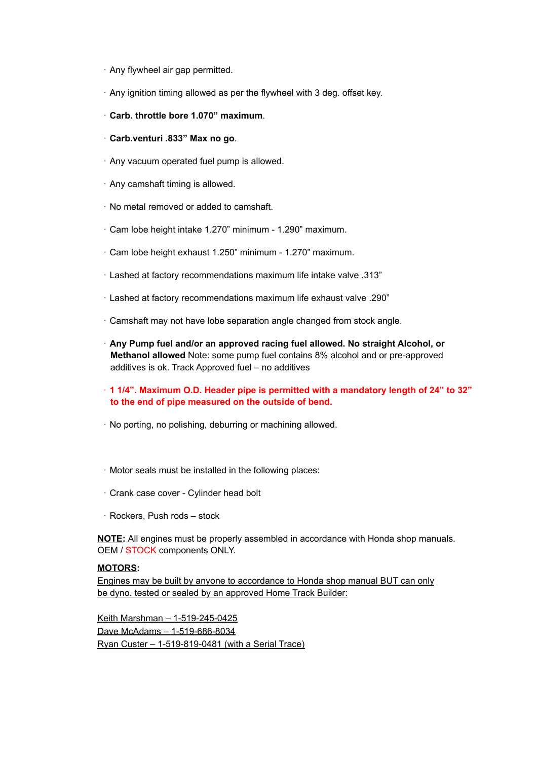- · Any flywheel air gap permitted.
- · Any ignition timing allowed as per the flywheel with 3 deg. offset key.
- · **Carb. throttle bore 1.070" maximum**.
- · **Carb.venturi .833" Max no go**.
- · Any vacuum operated fuel pump is allowed.
- · Any camshaft timing is allowed.
- · No metal removed or added to camshaft.
- · Cam lobe height intake 1.270" minimum 1.290" maximum.
- · Cam lobe height exhaust 1.250" minimum 1.270" maximum.
- · Lashed at factory recommendations maximum life intake valve .313"
- · Lashed at factory recommendations maximum life exhaust valve .290"
- · Camshaft may not have lobe separation angle changed from stock angle.
- · **Any Pump fuel and/or an approved racing fuel allowed. No straight Alcohol, or Methanol allowed** Note: some pump fuel contains 8% alcohol and or pre-approved additives is ok. Track Approved fuel – no additives
- · **1 1/4". Maximum O.D. Header pipe is permitted with a mandatory length of 24" to 32" to the end of pipe measured on the outside of bend.**
- · No porting, no polishing, deburring or machining allowed.
- · Motor seals must be installed in the following places:
- · Crank case cover Cylinder head bolt
- · Rockers, Push rods stock

**NOTE:** All engines must be properly assembled in accordance with Honda shop manuals. OEM / STOCK components ONLY.

# **MOTORS:**

Engines may be built by anyone to accordance to Honda shop manual BUT can only be dyno. tested or sealed by an approved Home Track Builder:

Keith Marshman – 1-519-245-0425 Dave McAdams – 1-519-686-8034 Ryan Custer – 1-519-819-0481 (with a Serial Trace)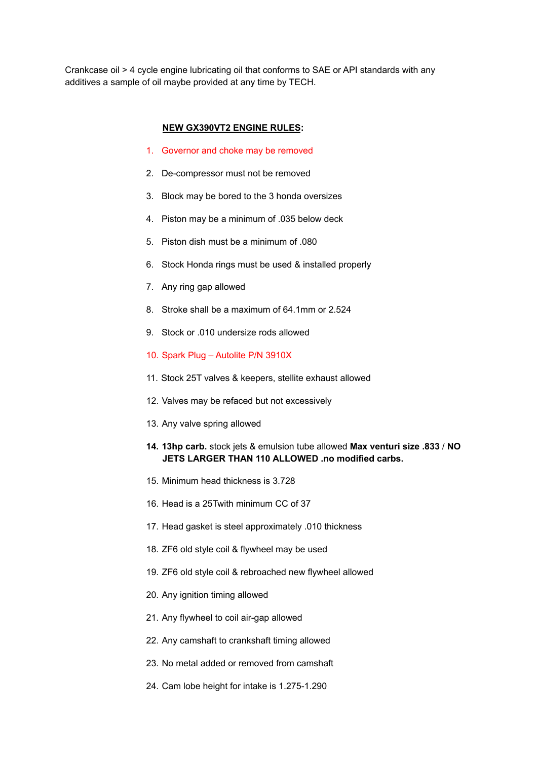Crankcase oil > 4 cycle engine lubricating oil that conforms to SAE or API standards with any additives a sample of oil maybe provided at any time by TECH.

## **NEW GX390VT2 ENGINE RULES:**

- 1. Governor and choke may be removed
- 2. De-compressor must not be removed
- 3. Block may be bored to the 3 honda oversizes
- 4. Piston may be a minimum of .035 below deck
- 5. Piston dish must be a minimum of .080
- 6. Stock Honda rings must be used & installed properly
- 7. Any ring gap allowed
- 8. Stroke shall be a maximum of 64.1mm or 2.524
- 9. Stock or .010 undersize rods allowed
- 10. Spark Plug Autolite P/N 3910X
- 11. Stock 25T valves & keepers, stellite exhaust allowed
- 12. Valves may be refaced but not excessively
- 13. Any valve spring allowed
- **14. 13hp carb.** stock jets & emulsion tube allowed **Max venturi size .833** / **NO JETS LARGER THAN 110 ALLOWED .no modified carbs.**
- 15. Minimum head thickness is 3.728
- 16. Head is a 25Twith minimum CC of 37
- 17. Head gasket is steel approximately .010 thickness
- 18. ZF6 old style coil & flywheel may be used
- 19. ZF6 old style coil & rebroached new flywheel allowed
- 20. Any ignition timing allowed
- 21. Any flywheel to coil air-gap allowed
- 22. Any camshaft to crankshaft timing allowed
- 23. No metal added or removed from camshaft
- 24. Cam lobe height for intake is 1.275-1.290